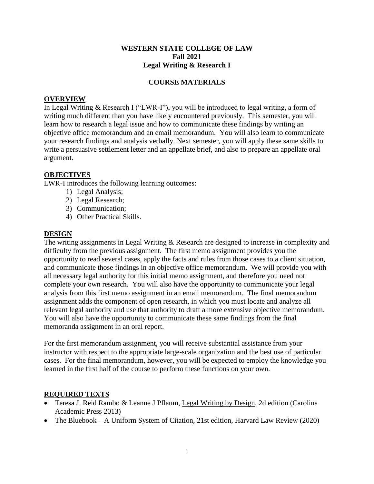#### **WESTERN STATE COLLEGE OF LAW Fall 2021 Legal Writing & Research I**

### **COURSE MATERIALS**

#### **OVERVIEW**

In Legal Writing & Research I ("LWR-I"), you will be introduced to legal writing, a form of writing much different than you have likely encountered previously. This semester, you will learn how to research a legal issue and how to communicate these findings by writing an objective office memorandum and an email memorandum. You will also learn to communicate your research findings and analysis verbally. Next semester, you will apply these same skills to write a persuasive settlement letter and an appellate brief, and also to prepare an appellate oral argument.

#### **OBJECTIVES**

LWR-I introduces the following learning outcomes:

- 1) Legal Analysis;
- 2) Legal Research;
- 3) Communication;
- 4) Other Practical Skills.

#### **DESIGN**

The writing assignments in Legal Writing & Research are designed to increase in complexity and difficulty from the previous assignment. The first memo assignment provides you the opportunity to read several cases, apply the facts and rules from those cases to a client situation, and communicate those findings in an objective office memorandum. We will provide you with all necessary legal authority for this initial memo assignment, and therefore you need not complete your own research. You will also have the opportunity to communicate your legal analysis from this first memo assignment in an email memorandum. The final memorandum assignment adds the component of open research, in which you must locate and analyze all relevant legal authority and use that authority to draft a more extensive objective memorandum. You will also have the opportunity to communicate these same findings from the final memoranda assignment in an oral report.

For the first memorandum assignment, you will receive substantial assistance from your instructor with respect to the appropriate large-scale organization and the best use of particular cases. For the final memorandum, however, you will be expected to employ the knowledge you learned in the first half of the course to perform these functions on your own.

#### **REQUIRED TEXTS**

- Teresa J. Reid Rambo & Leanne J Pflaum, Legal Writing by Design, 2d edition (Carolina Academic Press 2013)
- The Bluebook A Uniform System of Citation, 21st edition, Harvard Law Review (2020)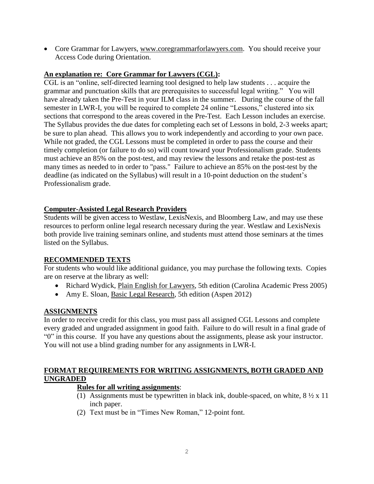• Core Grammar for Lawyers, [www.coregrammarforlawyers.com.](http://www.coregrammarforlawyers.com/) You should receive your Access Code during Orientation.

### **An explanation re: Core Grammar for Lawyers (CGL):**

CGL is an "online, self-directed learning tool designed to help law students . . . acquire the grammar and punctuation skills that are prerequisites to successful legal writing." You will have already taken the Pre-Test in your ILM class in the summer. During the course of the fall semester in LWR-I, you will be required to complete 24 online "Lessons," clustered into six sections that correspond to the areas covered in the Pre-Test. Each Lesson includes an exercise. The Syllabus provides the due dates for completing each set of Lessons in bold, 2-3 weeks apart; be sure to plan ahead. This allows you to work independently and according to your own pace. While not graded, the CGL Lessons must be completed in order to pass the course and their timely completion (or failure to do so) will count toward your Professionalism grade. Students must achieve an 85% on the post-test, and may review the lessons and retake the post-test as many times as needed to in order to "pass." Failure to achieve an 85% on the post-test by the deadline (as indicated on the Syllabus) will result in a 10-point deduction on the student's Professionalism grade.

## **Computer-Assisted Legal Research Providers**

Students will be given access to Westlaw, LexisNexis, and Bloomberg Law, and may use these resources to perform online legal research necessary during the year. Westlaw and LexisNexis both provide live training seminars online, and students must attend those seminars at the times listed on the Syllabus.

### **RECOMMENDED TEXTS**

For students who would like additional guidance, you may purchase the following texts. Copies are on reserve at the library as well:

- Richard Wydick, Plain English for Lawyers, 5th edition (Carolina Academic Press 2005)
- Amy E. Sloan, Basic Legal Research, 5th edition (Aspen 2012)

### **ASSIGNMENTS**

In order to receive credit for this class, you must pass all assigned CGL Lessons and complete every graded and ungraded assignment in good faith. Failure to do will result in a final grade of "0" in this course. If you have any questions about the assignments, please ask your instructor. You will not use a blind grading number for any assignments in LWR-I.

## **FORMAT REQUIREMENTS FOR WRITING ASSIGNMENTS, BOTH GRADED AND UNGRADED**

### **Rules for all writing assignments**:

- (1) Assignments must be typewritten in black ink, double-spaced, on white,  $8\frac{1}{2} \times 11$ inch paper.
- (2) Text must be in "Times New Roman," 12-point font.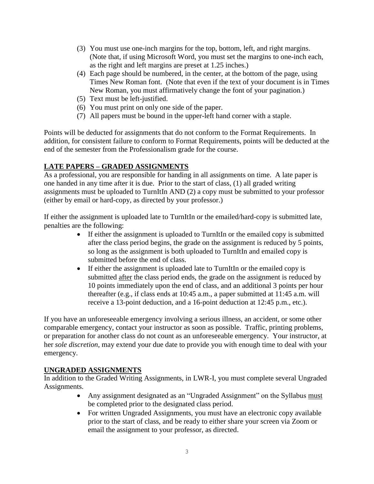- (3) You must use one-inch margins for the top, bottom, left, and right margins. (Note that, if using Microsoft Word, you must set the margins to one-inch each, as the right and left margins are preset at 1.25 inches.)
- (4) Each page should be numbered, in the center, at the bottom of the page, using Times New Roman font. (Note that even if the text of your document is in Times New Roman, you must affirmatively change the font of your pagination.)
- (5) Text must be left-justified.
- (6) You must print on only one side of the paper.
- (7) All papers must be bound in the upper-left hand corner with a staple.

Points will be deducted for assignments that do not conform to the Format Requirements. In addition, for consistent failure to conform to Format Requirements, points will be deducted at the end of the semester from the Professionalism grade for the course.

# **LATE PAPERS – GRADED ASSIGNMENTS**

As a professional, you are responsible for handing in all assignments on time. A late paper is one handed in any time after it is due. Prior to the start of class, (1) all graded writing assignments must be uploaded to TurnItIn AND (2) a copy must be submitted to your professor (either by email or hard-copy, as directed by your professor.)

If either the assignment is uploaded late to TurnItIn or the emailed/hard-copy is submitted late, penalties are the following:

- If either the assignment is uploaded to TurnItIn or the emailed copy is submitted after the class period begins, the grade on the assignment is reduced by 5 points, so long as the assignment is both uploaded to TurnItIn and emailed copy is submitted before the end of class.
- If either the assignment is uploaded late to TurnItIn or the emailed copy is submitted after the class period ends, the grade on the assignment is reduced by 10 points immediately upon the end of class, and an additional 3 points per hour thereafter (e.g., if class ends at 10:45 a.m., a paper submitted at 11:45 a.m. will receive a 13-point deduction, and a 16-point deduction at 12:45 p.m., etc.).

If you have an unforeseeable emergency involving a serious illness, an accident, or some other comparable emergency, contact your instructor as soon as possible. Traffic, printing problems, or preparation for another class do not count as an unforeseeable emergency.Your instructor, at her *sole discretion*, may extend your due date to provide you with enough time to deal with your emergency.

# **UNGRADED ASSIGNMENTS**

In addition to the Graded Writing Assignments, in LWR-I, you must complete several Ungraded Assignments.

- Any assignment designated as an "Ungraded Assignment" on the Syllabus must be completed prior to the designated class period.
- For written Ungraded Assignments, you must have an electronic copy available prior to the start of class, and be ready to either share your screen via Zoom or email the assignment to your professor, as directed.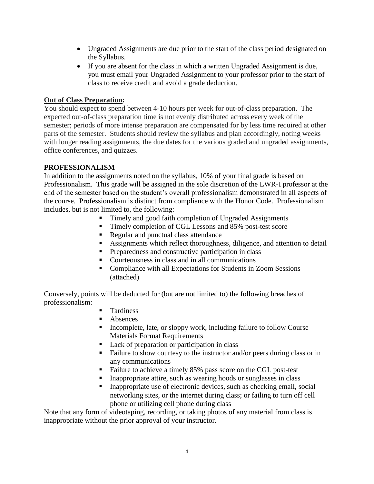- Ungraded Assignments are due prior to the start of the class period designated on the Syllabus.
- If you are absent for the class in which a written Ungraded Assignment is due, you must email your Ungraded Assignment to your professor prior to the start of class to receive credit and avoid a grade deduction.

## **Out of Class Preparation:**

You should expect to spend between 4-10 hours per week for out-of-class preparation. The expected out-of-class preparation time is not evenly distributed across every week of the semester; periods of more intense preparation are compensated for by less time required at other parts of the semester. Students should review the syllabus and plan accordingly, noting weeks with longer reading assignments, the due dates for the various graded and ungraded assignments, office conferences, and quizzes.

## **PROFESSIONALISM**

In addition to the assignments noted on the syllabus, 10% of your final grade is based on Professionalism. This grade will be assigned in the sole discretion of the LWR-I professor at the end of the semester based on the student's overall professionalism demonstrated in all aspects of the course. Professionalism is distinct from compliance with the Honor Code. Professionalism includes, but is not limited to, the following:

- Timely and good faith completion of Ungraded Assignments
- Timely completion of CGL Lessons and 85% post-test score
- Regular and punctual class attendance
- Assignments which reflect thoroughness, diligence, and attention to detail
- **Preparedness and constructive participation in class**
- Courteousness in class and in all communications
- Compliance with all Expectations for Students in Zoom Sessions (attached)

Conversely, points will be deducted for (but are not limited to) the following breaches of professionalism:

- **Tardiness**
- Absences
- Incomplete, late, or sloppy work, including failure to follow Course Materials Format Requirements
- Lack of preparation or participation in class
- Failure to show courtesy to the instructor and/or peers during class or in any communications
- Failure to achieve a timely 85% pass score on the CGL post-test
- Inappropriate attire, such as wearing hoods or sunglasses in class
- Inappropriate use of electronic devices, such as checking email, social networking sites, or the internet during class; or failing to turn off cell phone or utilizing cell phone during class

Note that any form of videotaping, recording, or taking photos of any material from class is inappropriate without the prior approval of your instructor.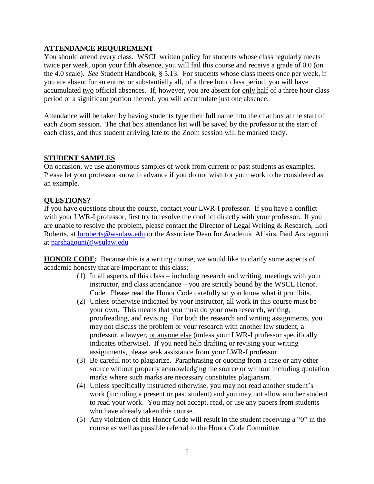### **ATTENDANCE REQUIREMENT**

You should attend every class. WSCL written policy for students whose class regularly meets twice per week, upon your fifth absence, you will fail this course and receive a grade of 0.0 (on the 4.0 scale). *See* Student Handbook, § 5.13. For students whose class meets once per week, if you are absent for an entire, or substantially all, of a three hour class period, you will have accumulated two official absences. If, however, you are absent for only half of a three hour class period or a significant portion thereof, you will accumulate just one absence.

Attendance will be taken by having students type their full name into the chat box at the start of each Zoom session. The chat box attendance list will be saved by the professor at the start of each class, and thus student arriving late to the Zoom session will be marked tardy.

#### **STUDENT SAMPLES**

On occasion, we use anonymous samples of work from current or past students as examples. Please let your professor know in advance if you do not wish for your work to be considered as an example.

#### **QUESTIONS?**

If you have questions about the course, contact your LWR-I professor. If you have a conflict with your LWR-I professor, first try to resolve the conflict directly with your professor. If you are unable to resolve the problem, please contact the Director of Legal Writing & Research, Lori Roberts, at [loroberts@wsulaw.edu](mailto:loroberts@wsulaw.edu) or the Associate Dean for Academic Affairs, Paul Arshagouni at [parshagouni@wsulaw.edu](mailto:parshagouni@wsulaw.edu)

**HONOR CODE:** Because this is a writing course, we would like to clarify some aspects of academic honesty that are important to this class:

- (1) In all aspects of this class including research and writing, meetings with your instructor, and class attendance – you are strictly bound by the WSCL Honor. Code. Please read the Honor Code carefully so you know what it prohibits.
- (2) Unless otherwise indicated by your instructor, all work in this course must be your own. This means that you must do your own research, writing, proofreading, and revising. For both the research and writing assignments, you may not discuss the problem or your research with another law student, a professor, a lawyer, or anyone else (unless your LWR-I professor specifically indicates otherwise). If you need help drafting or revising your writing assignments, please seek assistance from your LWR-I professor.
- (3) Be careful not to plagiarize. Paraphrasing or quoting from a case or any other source without properly acknowledging the source or without including quotation marks where such marks are necessary constitutes plagiarism.
- (4) Unless specifically instructed otherwise, you may not read another student's work (including a present or past student) and you may not allow another student to read your work. You may not accept, read, or use any papers from students who have already taken this course.
- (5) Any violation of this Honor Code will result in the student receiving a "0" in the course as well as possible referral to the Honor Code Committee.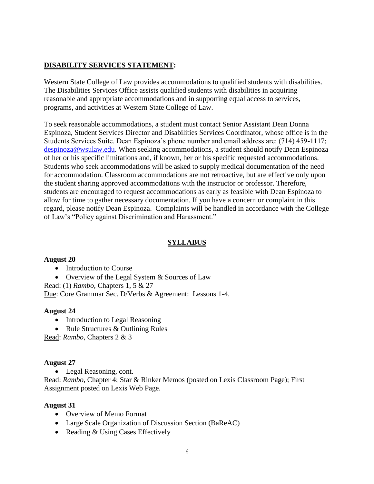## **DISABILITY SERVICES STATEMENT:**

Western State College of Law provides accommodations to qualified students with disabilities. The Disabilities Services Office assists qualified students with disabilities in acquiring reasonable and appropriate accommodations and in supporting equal access to services, programs, and activities at Western State College of Law.

To seek reasonable accommodations, a student must contact Senior Assistant Dean Donna Espinoza, Student Services Director and Disabilities Services Coordinator, whose office is in the Students Services Suite. Dean Espinoza's phone number and email address are: (714) 459-1117; [despinoza@wsulaw.edu.](https://email.edmc.edu/OWA/redir.aspx?C=yQra1LQWr0mUS2kXua3NKtkJJnwxadJIBEddnuOHJAr-f5YyX5Wzvx1cEaAFaHZRMWU1iUiov-4.&URL=mailto%3adespinoza%40wsulaw.edu) When seeking accommodations, a student should notify Dean Espinoza of her or his specific limitations and, if known, her or his specific requested accommodations. Students who seek accommodations will be asked to supply medical documentation of the need for accommodation. Classroom accommodations are not retroactive, but are effective only upon the student sharing approved accommodations with the instructor or professor. Therefore, students are encouraged to request accommodations as early as feasible with Dean Espinoza to allow for time to gather necessary documentation. If you have a concern or complaint in this regard, please notify Dean Espinoza. Complaints will be handled in accordance with the College of Law's "Policy against Discrimination and Harassment."

### **SYLLABUS**

### **August 20**

- Introduction to Course
- Overview of the Legal System & Sources of Law

Read: (1) *Rambo,* Chapters 1, 5 & 27

Due: Core Grammar Sec. D/Verbs & Agreement: Lessons 1-4.

### **August 24**

- Introduction to Legal Reasoning
- Rule Structures & Outlining Rules

Read: *Rambo,* Chapters 2 & 3

### **August 27**

• Legal Reasoning, cont.

Read: *Rambo,* Chapter 4; Star & Rinker Memos (posted on Lexis Classroom Page); First Assignment posted on Lexis Web Page.

#### **August 31**

- Overview of Memo Format
- Large Scale Organization of Discussion Section (BaReAC)
- Reading & Using Cases Effectively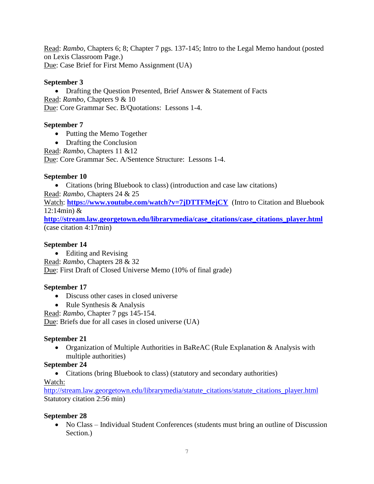Read: *Rambo,* Chapters 6; 8; Chapter 7 pgs. 137-145; Intro to the Legal Memo handout (posted on Lexis Classroom Page.) Due: Case Brief for First Memo Assignment (UA)

## **September 3**

• Drafting the Question Presented, Brief Answer & Statement of Facts Read: *Rambo,* Chapters 9 & 10 Due: Core Grammar Sec. B/Quotations: Lessons 1-4.

## **September 7**

- Putting the Memo Together
- Drafting the Conclusion

Read: *Rambo,* Chapters 11 &12

Due: Core Grammar Sec. A/Sentence Structure: Lessons 1-4.

# **September 10**

Citations (bring Bluebook to class) (introduction and case law citations)

Read: *Rambo,* Chapters 24 & 25

Watch: <https://www.youtube.com/watch?v=7jDTTFMejCY>(Intro to Citation and Bluebook 12:14min) &

**[http://stream.law.georgetown.edu/librarymedia/case\\_citations/case\\_citations\\_player.html](http://stream.law.georgetown.edu/librarymedia/case_citations/case_citations_player.html)** (case citation 4:17min)

## **September 14**

• Editing and Revising

Read: *Rambo,* Chapters 28 & 32

Due: First Draft of Closed Universe Memo (10% of final grade)

# **September 17**

- Discuss other cases in closed universe
- Rule Synthesis  $&$  Analysis

Read: *Rambo,* Chapter 7 pgs 145-154.

Due: Briefs due for all cases in closed universe (UA)

# **September 21**

 Organization of Multiple Authorities in BaReAC (Rule Explanation & Analysis with multiple authorities)

# **September 24**

• Citations (bring Bluebook to class) (statutory and secondary authorities)

### Watch:

[http://stream.law.georgetown.edu/librarymedia/statute\\_citations/statute\\_citations\\_player.html](http://stream.law.georgetown.edu/librarymedia/statute_citations/statute_citations_player.html) Statutory citation 2:56 min)

### **September 28**

• No Class – Individual Student Conferences (students must bring an outline of Discussion Section.)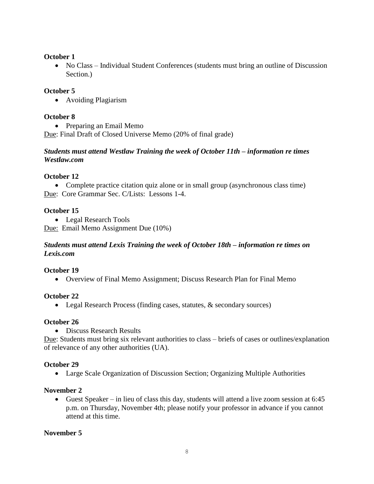## **October 1**

• No Class – Individual Student Conferences (students must bring an outline of Discussion Section.)

## **October 5**

Avoiding Plagiarism

## **October 8**

• Preparing an Email Memo Due: Final Draft of Closed Universe Memo (20% of final grade)

### *Students must attend Westlaw Training the week of October 11th – information re times Westlaw.com*

# **October 12**

 Complete practice citation quiz alone or in small group (asynchronous class time) Due: Core Grammar Sec. C/Lists: Lessons 1-4.

## **October 15**

• Legal Research Tools

Due: Email Memo Assignment Due (10%)

### *Students must attend Lexis Training the week of October 18th – information re times on Lexis.com*

### **October 19**

Overview of Final Memo Assignment; Discuss Research Plan for Final Memo

# **October 22**

• Legal Research Process (finding cases, statutes, & secondary sources)

# **October 26**

• Discuss Research Results

Due: Students must bring six relevant authorities to class – briefs of cases or outlines/explanation of relevance of any other authorities (UA).

### **October 29**

Large Scale Organization of Discussion Section; Organizing Multiple Authorities

# **November 2**

 Guest Speaker – in lieu of class this day, students will attend a live zoom session at 6:45 p.m. on Thursday, November 4th; please notify your professor in advance if you cannot attend at this time.

# **November 5**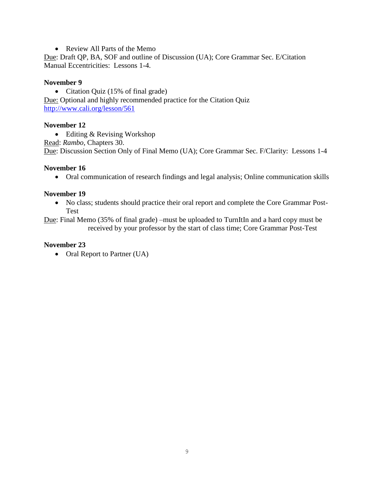• Review All Parts of the Memo

Due: Draft QP, BA, SOF and outline of Discussion (UA); Core Grammar Sec. E/Citation Manual Eccentricities: Lessons 1-4.

#### **November 9**

• Citation Quiz (15% of final grade) Due: Optional and highly recommended practice for the Citation Quiz <http://www.cali.org/lesson/561>

#### **November 12**

 Editing & Revising Workshop Read: *Rambo,* Chapters 30. Due: Discussion Section Only of Final Memo (UA); Core Grammar Sec. F/Clarity: Lessons 1-4

#### **November 16**

Oral communication of research findings and legal analysis; Online communication skills

#### **November 19**

 No class; students should practice their oral report and complete the Core Grammar Post-Test

Due: Final Memo (35% of final grade) –must be uploaded to TurnItIn and a hard copy must be received by your professor by the start of class time; Core Grammar Post-Test

#### **November 23**

• Oral Report to Partner (UA)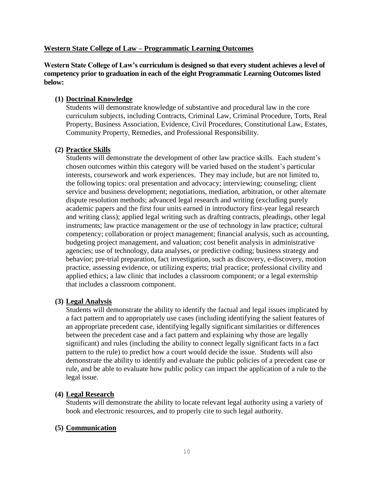### **Western State College of Law – Programmatic Learning Outcomes**

**Western State College of Law's curriculum is designed so that every student achieves a level of competency prior to graduation in each of the eight Programmatic Learning Outcomes listed below:**

### **(1) Doctrinal Knowledge**

Students will demonstrate knowledge of substantive and procedural law in the core curriculum subjects, including Contracts, Criminal Law, Criminal Procedure, Torts, Real Property, Business Association, Evidence, Civil Procedures, Constitutional Law, Estates, Community Property, Remedies, and Professional Responsibility.

#### **(2) Practice Skills**

Students will demonstrate the development of other law practice skills. Each student's chosen outcomes within this category will be varied based on the student's particular interests, coursework and work experiences. They may include, but are not limited to, the following topics: oral presentation and advocacy; interviewing; counseling; client service and business development; negotiations, mediation, arbitration, or other alternate dispute resolution methods; advanced legal research and writing (excluding purely academic papers and the first four units earned in introductory first-year legal research and writing class); applied legal writing such as drafting contracts, pleadings, other legal instruments; law practice management or the use of technology in law practice; cultural competency; collaboration or project management; financial analysis, such as accounting, budgeting project management, and valuation; cost benefit analysis in administrative agencies; use of technology, data analyses, or predictive coding; business strategy and behavior; pre-trial preparation, fact investigation, such as discovery, e-discovery, motion practice, assessing evidence, or utilizing experts; trial practice; professional civility and applied ethics; a law clinic that includes a classroom component; or a legal externship that includes a classroom component.

#### **(3) Legal Analysis**

Students will demonstrate the ability to identify the factual and legal issues implicated by a fact pattern and to appropriately use cases (including identifying the salient features of an appropriate precedent case, identifying legally significant similarities or differences between the precedent case and a fact pattern and explaining why those are legally significant) and rules (including the ability to connect legally significant facts in a fact pattern to the rule) to predict how a court would decide the issue. Students will also demonstrate the ability to identify and evaluate the public policies of a precedent case or rule, and be able to evaluate how public policy can impact the application of a rule to the legal issue.

#### **(4) Legal Research**

Students will demonstrate the ability to locate relevant legal authority using a variety of book and electronic resources, and to properly cite to such legal authority.

#### **(5) Communication**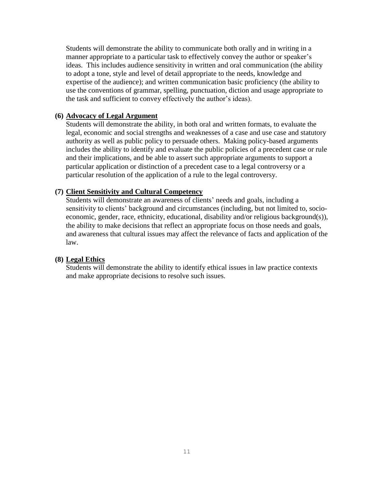Students will demonstrate the ability to communicate both orally and in writing in a manner appropriate to a particular task to effectively convey the author or speaker's ideas. This includes audience sensitivity in written and oral communication (the ability to adopt a tone, style and level of detail appropriate to the needs, knowledge and expertise of the audience); and written communication basic proficiency (the ability to use the conventions of grammar, spelling, punctuation, diction and usage appropriate to the task and sufficient to convey effectively the author's ideas).

#### **(6) Advocacy of Legal Argument**

Students will demonstrate the ability, in both oral and written formats, to evaluate the legal, economic and social strengths and weaknesses of a case and use case and statutory authority as well as public policy to persuade others. Making policy-based arguments includes the ability to identify and evaluate the public policies of a precedent case or rule and their implications, and be able to assert such appropriate arguments to support a particular application or distinction of a precedent case to a legal controversy or a particular resolution of the application of a rule to the legal controversy.

#### **(7) Client Sensitivity and Cultural Competency**

Students will demonstrate an awareness of clients' needs and goals, including a sensitivity to clients' background and circumstances (including, but not limited to, socioeconomic, gender, race, ethnicity, educational, disability and/or religious background(s)), the ability to make decisions that reflect an appropriate focus on those needs and goals, and awareness that cultural issues may affect the relevance of facts and application of the law.

#### **(8) Legal Ethics**

Students will demonstrate the ability to identify ethical issues in law practice contexts and make appropriate decisions to resolve such issues.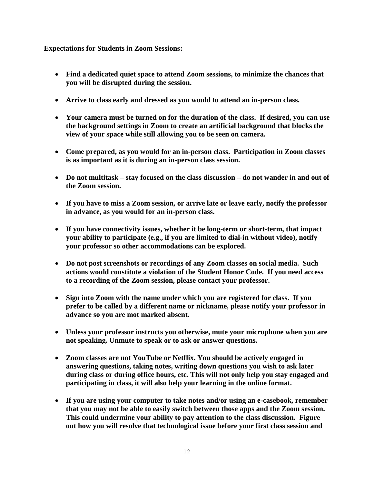**Expectations for Students in Zoom Sessions:**

- **Find a dedicated quiet space to attend Zoom sessions, to minimize the chances that you will be disrupted during the session.**
- **Arrive to class early and dressed as you would to attend an in-person class.**
- **Your camera must be turned on for the duration of the class. If desired, you can use the background settings in Zoom to create an artificial background that blocks the view of your space while still allowing you to be seen on camera.**
- **Come prepared, as you would for an in-person class. Participation in Zoom classes is as important as it is during an in-person class session.**
- **Do not multitask – stay focused on the class discussion – do not wander in and out of the Zoom session.**
- **If you have to miss a Zoom session, or arrive late or leave early, notify the professor in advance, as you would for an in-person class.**
- **If you have connectivity issues, whether it be long-term or short-term, that impact your ability to participate (e.g., if you are limited to dial-in without video), notify your professor so other accommodations can be explored.**
- **Do not post screenshots or recordings of any Zoom classes on social media. Such actions would constitute a violation of the Student Honor Code. If you need access to a recording of the Zoom session, please contact your professor.**
- **Sign into Zoom with the name under which you are registered for class. If you prefer to be called by a different name or nickname, please notify your professor in advance so you are mot marked absent.**
- **Unless your professor instructs you otherwise, mute your microphone when you are not speaking. Unmute to speak or to ask or answer questions.**
- **Zoom classes are not YouTube or Netflix. You should be actively engaged in answering questions, taking notes, writing down questions you wish to ask later during class or during office hours, etc. This will not only help you stay engaged and participating in class, it will also help your learning in the online format.**
- **If you are using your computer to take notes and/or using an e-casebook, remember that you may not be able to easily switch between those apps and the Zoom session. This could undermine your ability to pay attention to the class discussion. Figure out how you will resolve that technological issue before your first class session and**